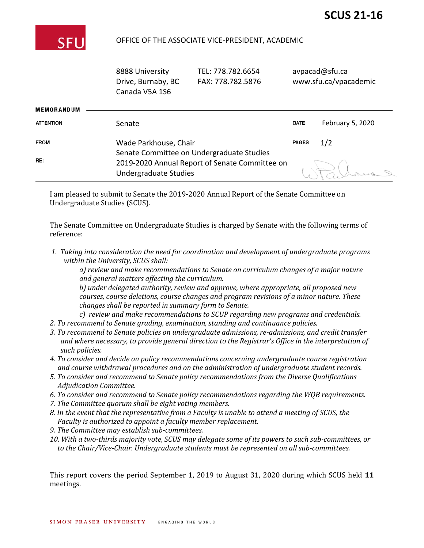

# OFFICE OF THE ASSOCIATE VICE-PRESIDENT, ACADEMIC

|                   | 8888 University<br>Drive, Burnaby, BC<br>Canada V5A 1S6                 | TEL: 778.782.6654<br>FAX: 778.782.5876    | avpacad@sfu.ca | www.sfu.ca/vpacademic |
|-------------------|-------------------------------------------------------------------------|-------------------------------------------|----------------|-----------------------|
| <b>MEMORANDUM</b> |                                                                         |                                           |                |                       |
| <b>ATTENTION</b>  | Senate                                                                  |                                           | <b>DATE</b>    | February 5, 2021      |
| <b>FROM</b>       | Wade Parkhouse, Chair                                                   | Senate Committee on Undergraduate Studies |                | 1/2                   |
| RE:               | 2019-2020 Annual Report of Senate Committee on<br>Undergraduate Studies |                                           |                |                       |

I am pleased to submit to Senate the 2019-2020 Annual Report of the Senate Committee on Undergraduate Studies (SCUS).

The Senate Committee on Undergraduate Studies is charged by Senate with the following terms of reference:

*1. Taking into consideration the need for coordination and development of undergraduate programs within the University, SCUS shall:*

*a) review and make recommendations to Senate on curriculum changes of a major nature and general matters affecting the curriculum.*

*b) under delegated authority, review and approve, where appropriate, all proposed new courses, course deletions, course changes and program revisions of a minor nature. These changes shall be reported in summary form to Senate.*

- *c) review and make recommendations to SCUP regarding new programs and credentials.*
- *2. To recommend to Senate grading, examination, standing and continuance policies.*
- *3. To recommend to Senate policies on undergraduate admissions, re-admissions, and credit transfer and where necessary, to provide general direction to the Registrar's Office in the interpretation of such policies.*
- *4. To consider and decide on policy recommendations concerning undergraduate course registration and course withdrawal procedures and on the administration of undergraduate student records.*
- *5. To consider and recommend to Senate policy recommendations from the Diverse Qualifications Adjudication Committee.*
- *6. To consider and recommend to Senate policy recommendations regarding the WQB requirements.*
- *7. The Committee quorum shall be eight voting members.*
- *8. In the event that the representative from a Faculty is unable to attend a meeting of SCUS, the Faculty is authorized to appoint a faculty member replacement.*
- *9. The Committee may establish sub-committees.*
- *10. With a two-thirds majority vote, SCUS may delegate some of its powers to such sub-committees, or to the Chair/Vice-Chair. Undergraduate students must be represented on all sub-committees.*

This report covers the period September 1, 2019 to August 31, 2020 during which SCUS held **11**  meetings.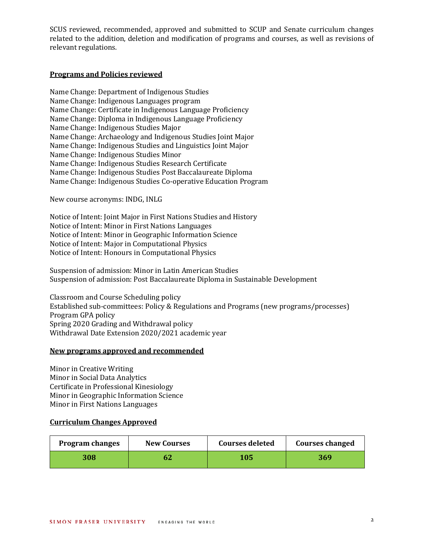SCUS reviewed, recommended, approved and submitted to SCUP and Senate curriculum changes related to the addition, deletion and modification of programs and courses, as well as revisions of relevant regulations.

## **Programs and Policies reviewed**

Name Change: Department of Indigenous Studies Name Change: Indigenous Languages program Name Change: Certificate in Indigenous Language Proficiency Name Change: Diploma in Indigenous Language Proficiency Name Change: Indigenous Studies Major Name Change: Archaeology and Indigenous Studies Joint Major Name Change: Indigenous Studies and Linguistics Joint Major Name Change: Indigenous Studies Minor Name Change: Indigenous Studies Research Certificate Name Change: Indigenous Studies Post Baccalaureate Diploma Name Change: Indigenous Studies Co-operative Education Program

New course acronyms: INDG, INLG

Notice of Intent: Joint Major in First Nations Studies and History Notice of Intent: Minor in First Nations Languages Notice of Intent: Minor in Geographic Information Science Notice of Intent: Major in Computational Physics Notice of Intent: Honours in Computational Physics

Suspension of admission: Minor in Latin American Studies Suspension of admission: Post Baccalaureate Diploma in Sustainable Development

Classroom and Course Scheduling policy Established sub-committees: Policy & Regulations and Programs (new programs/processes) Program GPA policy Spring 2020 Grading and Withdrawal policy Withdrawal Date Extension 2020/2021 academic year

### **New programs approved and recommended**

Minor in Creative Writing Minor in Social Data Analytics Certificate in Professional Kinesiology Minor in Geographic Information Science Minor in First Nations Languages

## **Curriculum Changes Approved**

| <b>Program changes</b> | <b>New Courses</b> | <b>Courses deleted</b> | <b>Courses changed</b> |
|------------------------|--------------------|------------------------|------------------------|
| 308                    | 62                 | 105                    | 369                    |